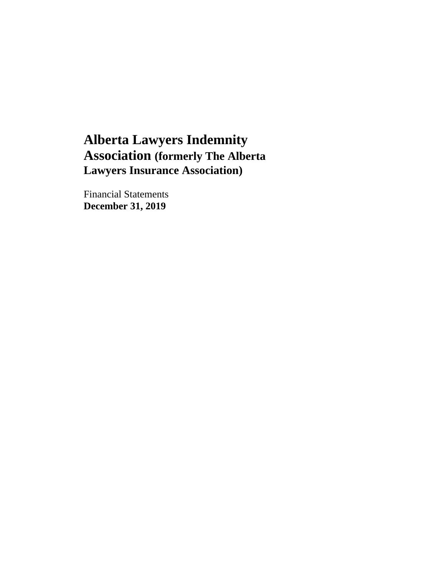# **Alberta Lawyers Indemnity Association (formerly The Alberta Lawyers Insurance Association)**

Financial Statements **December 31, 2019**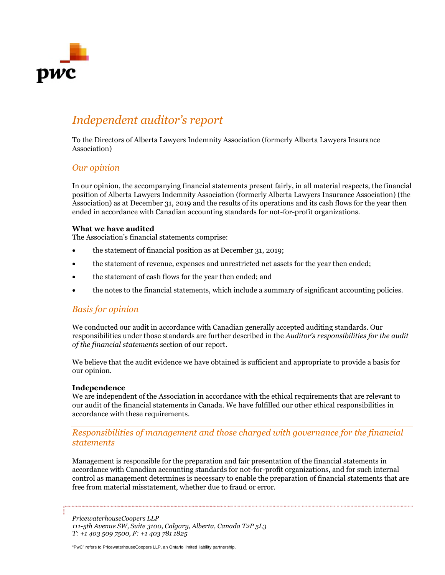

# *Independent auditor's report*

To the Directors of Alberta Lawyers Indemnity Association (formerly Alberta Lawyers Insurance Association)

### *Our opinion*

In our opinion, the accompanying financial statements present fairly, in all material respects, the financial position of Alberta Lawyers Indemnity Association (formerly Alberta Lawyers Insurance Association) (the Association) as at December 31, 2019 and the results of its operations and its cash flows for the year then ended in accordance with Canadian accounting standards for not-for-profit organizations.

#### **What we have audited**

The Association's financial statements comprise:

- the statement of financial position as at December 31, 2019;
- the statement of revenue, expenses and unrestricted net assets for the year then ended;
- the statement of cash flows for the year then ended; and
- the notes to the financial statements, which include a summary of significant accounting policies.

### *Basis for opinion*

We conducted our audit in accordance with Canadian generally accepted auditing standards. Our responsibilities under those standards are further described in the *Auditor's responsibilities for the audit of the financial statements* section of our report.

We believe that the audit evidence we have obtained is sufficient and appropriate to provide a basis for our opinion.

#### **Independence**

We are independent of the Association in accordance with the ethical requirements that are relevant to our audit of the financial statements in Canada. We have fulfilled our other ethical responsibilities in accordance with these requirements.

### *Responsibilities of management and those charged with governance for the financial statements*

Management is responsible for the preparation and fair presentation of the financial statements in accordance with Canadian accounting standards for not-for-profit organizations, and for such internal control as management determines is necessary to enable the preparation of financial statements that are free from material misstatement, whether due to fraud or error.

*PricewaterhouseCoopers LLP 111-5th Avenue SW, Suite 3100, Calgary, Alberta, Canada T2P 5L3 T: +1 403 509 7500, F: +1 403 781 1825*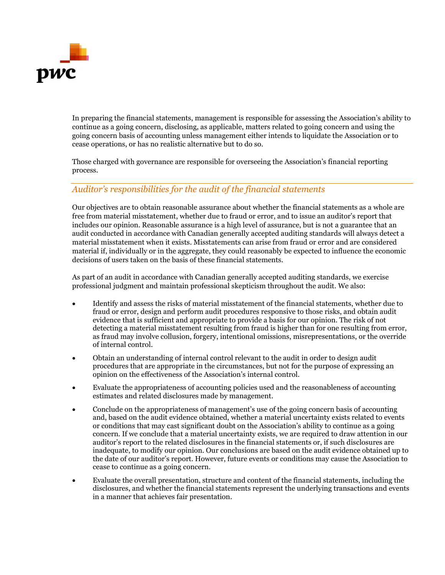

In preparing the financial statements, management is responsible for assessing the Association's ability to continue as a going concern, disclosing, as applicable, matters related to going concern and using the going concern basis of accounting unless management either intends to liquidate the Association or to cease operations, or has no realistic alternative but to do so.

Those charged with governance are responsible for overseeing the Association's financial reporting process.

### *Auditor's responsibilities for the audit of the financial statements*

Our objectives are to obtain reasonable assurance about whether the financial statements as a whole are free from material misstatement, whether due to fraud or error, and to issue an auditor's report that includes our opinion. Reasonable assurance is a high level of assurance, but is not a guarantee that an audit conducted in accordance with Canadian generally accepted auditing standards will always detect a material misstatement when it exists. Misstatements can arise from fraud or error and are considered material if, individually or in the aggregate, they could reasonably be expected to influence the economic decisions of users taken on the basis of these financial statements.

As part of an audit in accordance with Canadian generally accepted auditing standards, we exercise professional judgment and maintain professional skepticism throughout the audit. We also:

- Identify and assess the risks of material misstatement of the financial statements, whether due to fraud or error, design and perform audit procedures responsive to those risks, and obtain audit evidence that is sufficient and appropriate to provide a basis for our opinion. The risk of not detecting a material misstatement resulting from fraud is higher than for one resulting from error, as fraud may involve collusion, forgery, intentional omissions, misrepresentations, or the override of internal control.
- Obtain an understanding of internal control relevant to the audit in order to design audit procedures that are appropriate in the circumstances, but not for the purpose of expressing an opinion on the effectiveness of the Association's internal control.
- Evaluate the appropriateness of accounting policies used and the reasonableness of accounting estimates and related disclosures made by management.
- Conclude on the appropriateness of management's use of the going concern basis of accounting and, based on the audit evidence obtained, whether a material uncertainty exists related to events or conditions that may cast significant doubt on the Association's ability to continue as a going concern. If we conclude that a material uncertainty exists, we are required to draw attention in our auditor's report to the related disclosures in the financial statements or, if such disclosures are inadequate, to modify our opinion. Our conclusions are based on the audit evidence obtained up to the date of our auditor's report. However, future events or conditions may cause the Association to cease to continue as a going concern.
- Evaluate the overall presentation, structure and content of the financial statements, including the disclosures, and whether the financial statements represent the underlying transactions and events in a manner that achieves fair presentation.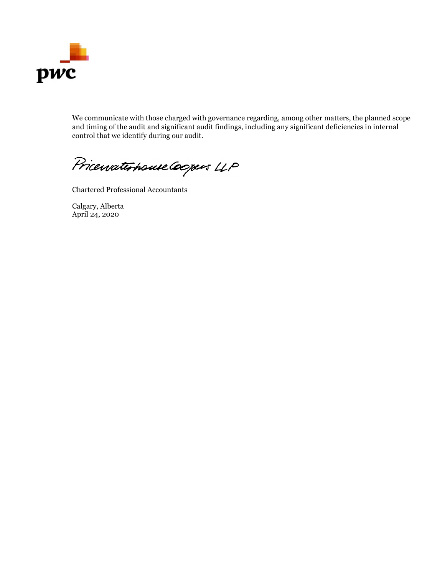

We communicate with those charged with governance regarding, among other matters, the planned scope and timing of the audit and significant audit findings, including any significant deficiencies in internal control that we identify during our audit.

Pricewaterhouse Coopers LLP

Chartered Professional Accountants

Calgary, Alberta April 24, 2020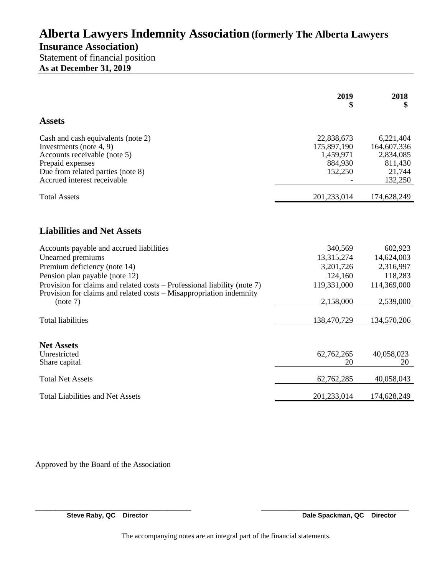### **Insurance Association)**

Statement of financial position **As at December 31, 2019**

|                                                                                                                                                                                                                                                                                                | 2019<br>\$                                                                | 2018<br>\$                                                                |
|------------------------------------------------------------------------------------------------------------------------------------------------------------------------------------------------------------------------------------------------------------------------------------------------|---------------------------------------------------------------------------|---------------------------------------------------------------------------|
| <b>Assets</b>                                                                                                                                                                                                                                                                                  |                                                                           |                                                                           |
| Cash and cash equivalents (note 2)<br>Investments (note $4, 9$ )<br>Accounts receivable (note 5)<br>Prepaid expenses<br>Due from related parties (note 8)<br>Accrued interest receivable                                                                                                       | 22,838,673<br>175,897,190<br>1,459,971<br>884,930<br>152,250              | 6,221,404<br>164,607,336<br>2,834,085<br>811,430<br>21,744<br>132,250     |
| <b>Total Assets</b>                                                                                                                                                                                                                                                                            | 201,233,014                                                               | 174,628,249                                                               |
| <b>Liabilities and Net Assets</b>                                                                                                                                                                                                                                                              |                                                                           |                                                                           |
| Accounts payable and accrued liabilities<br>Unearned premiums<br>Premium deficiency (note 14)<br>Pension plan payable (note 12)<br>Provision for claims and related costs - Professional liability (note 7)<br>Provision for claims and related costs – Misappropriation indemnity<br>(note 7) | 340,569<br>13,315,274<br>3,201,726<br>124,160<br>119,331,000<br>2,158,000 | 602,923<br>14,624,003<br>2,316,997<br>118,283<br>114,369,000<br>2,539,000 |
| <b>Total liabilities</b>                                                                                                                                                                                                                                                                       | 138,470,729                                                               | 134,570,206                                                               |
| <b>Net Assets</b><br>Unrestricted<br>Share capital                                                                                                                                                                                                                                             | 62,762,265<br>20                                                          | 40,058,023<br>20                                                          |
| <b>Total Net Assets</b>                                                                                                                                                                                                                                                                        | 62,762,285                                                                | 40,058,043                                                                |
| <b>Total Liabilities and Net Assets</b>                                                                                                                                                                                                                                                        | 201,233,014                                                               | 174,628,249                                                               |

Approved by the Board of the Association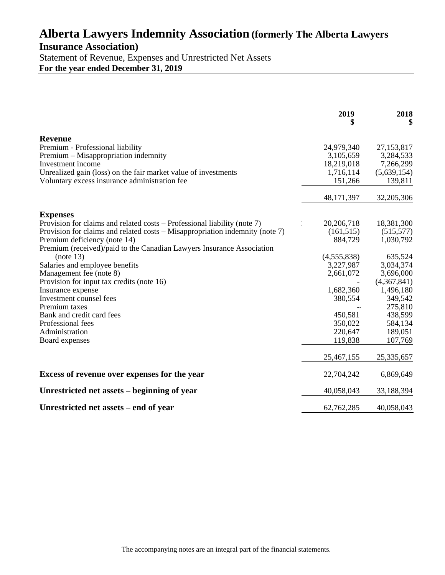### **Insurance Association)**

Statement of Revenue, Expenses and Unrestricted Net Assets **For the year ended December 31, 2019**

|                                                                              | 2019<br>\$  | 2018<br>\$  |
|------------------------------------------------------------------------------|-------------|-------------|
| <b>Revenue</b>                                                               |             |             |
| Premium - Professional liability                                             | 24,979,340  | 27,153,817  |
| Premium - Misappropriation indemnity                                         | 3,105,659   | 3,284,533   |
| Investment income                                                            | 18,219,018  | 7,266,299   |
| Unrealized gain (loss) on the fair market value of investments               | 1,716,114   | (5,639,154) |
| Voluntary excess insurance administration fee                                | 151,266     | 139,811     |
|                                                                              | 48,171,397  | 32,205,306  |
| <b>Expenses</b>                                                              |             |             |
| Provision for claims and related costs – Professional liability (note 7)     | 20,206,718  | 18,381,300  |
| Provision for claims and related costs – Misappropriation indemnity (note 7) | (161, 515)  | (515,577)   |
| Premium deficiency (note 14)                                                 | 884,729     | 1,030,792   |
| Premium (received)/paid to the Canadian Lawyers Insurance Association        |             |             |
| (note 13)                                                                    | (4,555,838) | 635,524     |
| Salaries and employee benefits                                               | 3,227,987   | 3,034,374   |
| Management fee (note 8)                                                      | 2,661,072   | 3,696,000   |
| Provision for input tax credits (note 16)                                    |             | (4,367,841) |
| Insurance expense                                                            | 1,682,360   | 1,496,180   |
| Investment counsel fees                                                      | 380,554     | 349,542     |
| Premium taxes                                                                |             | 275,810     |
| Bank and credit card fees                                                    | 450,581     | 438,599     |
| Professional fees                                                            | 350,022     | 584,134     |
| Administration                                                               | 220,647     | 189,051     |
| Board expenses                                                               | 119,838     | 107,769     |
|                                                                              | 25,467,155  | 25,335,657  |
| Excess of revenue over expenses for the year                                 | 22,704,242  | 6,869,649   |
| Unrestricted net assets – beginning of year                                  | 40,058,043  | 33,188,394  |
| Unrestricted net assets – end of year                                        | 62,762,285  | 40,058,043  |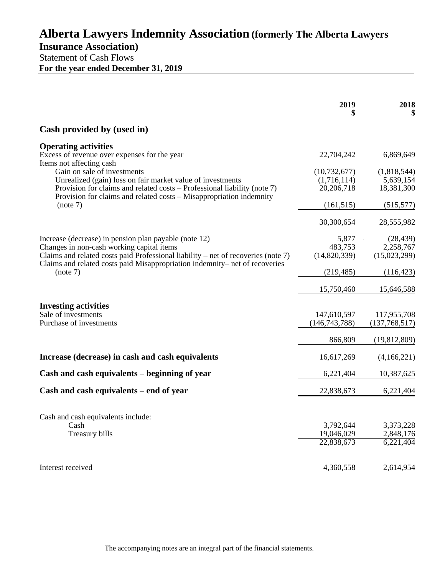### **Insurance Association)** Statement of Cash Flows **For the year ended December 31, 2019**

|                                                                                                                                                                  | 2019            | 2018<br>SS.   |
|------------------------------------------------------------------------------------------------------------------------------------------------------------------|-----------------|---------------|
| Cash provided by (used in)                                                                                                                                       |                 |               |
| <b>Operating activities</b>                                                                                                                                      |                 |               |
| Excess of revenue over expenses for the year<br>Items not affecting cash                                                                                         | 22,704,242      | 6,869,649     |
| Gain on sale of investments                                                                                                                                      | (10, 732, 677)  | (1,818,544)   |
| Unrealized (gain) loss on fair market value of investments                                                                                                       | (1,716,114)     | 5,639,154     |
| Provision for claims and related costs – Professional liability (note 7)                                                                                         | 20,206,718      | 18,381,300    |
| Provision for claims and related costs - Misappropriation indemnity<br>(note 7)                                                                                  | (161, 515)      | (515, 577)    |
|                                                                                                                                                                  |                 |               |
|                                                                                                                                                                  | 30,300,654      | 28,555,982    |
| Increase (decrease) in pension plan payable (note 12)                                                                                                            | 5,877           | (28, 439)     |
| Changes in non-cash working capital items                                                                                                                        | 483,753         | 2,258,767     |
| Claims and related costs paid Professional liability - net of recoveries (note 7)<br>Claims and related costs paid Misappropriation indemnity- net of recoveries | (14,820,339)    | (15,023,299)  |
| (note 7)                                                                                                                                                         | (219, 485)      | (116, 423)    |
|                                                                                                                                                                  | 15,750,460      | 15,646,588    |
| <b>Investing activities</b>                                                                                                                                      |                 |               |
| Sale of investments                                                                                                                                              | 147,610,597     | 117,955,708   |
| Purchase of investments                                                                                                                                          | (146, 743, 788) | (137,768,517) |
|                                                                                                                                                                  | 866,809         | (19,812,809)  |
| Increase (decrease) in cash and cash equivalents                                                                                                                 | 16,617,269      | (4,166,221)   |
| Cash and cash equivalents – beginning of year                                                                                                                    | 6,221,404       | 10,387,625    |
| Cash and cash equivalents – end of year                                                                                                                          | 22,838,673      | 6,221,404     |
|                                                                                                                                                                  |                 |               |
| Cash and cash equivalents include:                                                                                                                               |                 |               |
| Cash                                                                                                                                                             | 3,792,644       | 3,373,228     |
| Treasury bills                                                                                                                                                   | 19,046,029      | 2,848,176     |
|                                                                                                                                                                  | 22,838,673      | 6,221,404     |
| Interest received                                                                                                                                                | 4,360,558       | 2,614,954     |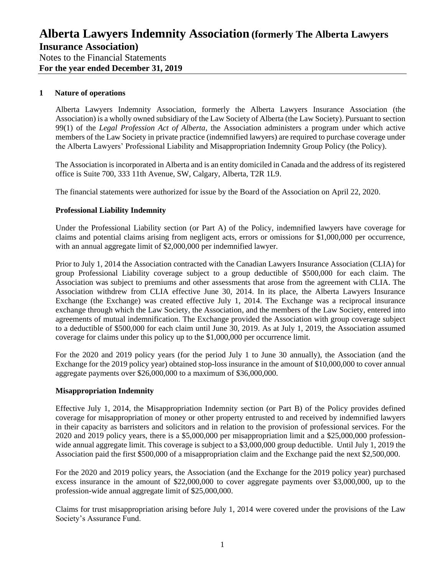### **1 Nature of operations**

Alberta Lawyers Indemnity Association, formerly the Alberta Lawyers Insurance Association (the Association) is a wholly owned subsidiary of the Law Society of Alberta (the Law Society). Pursuant to section 99(1) of the *Legal Profession Act of Alberta*, the Association administers a program under which active members of the Law Society in private practice (indemnified lawyers) are required to purchase coverage under the Alberta Lawyers' Professional Liability and Misappropriation Indemnity Group Policy (the Policy).

The Association is incorporated in Alberta and is an entity domiciled in Canada and the address of its registered office is Suite 700, 333 11th Avenue, SW, Calgary, Alberta, T2R 1L9.

The financial statements were authorized for issue by the Board of the Association on April 22, 2020.

### **Professional Liability Indemnity**

Under the Professional Liability section (or Part A) of the Policy, indemnified lawyers have coverage for claims and potential claims arising from negligent acts, errors or omissions for \$1,000,000 per occurrence, with an annual aggregate limit of \$2,000,000 per indemnified lawyer.

Prior to July 1, 2014 the Association contracted with the Canadian Lawyers Insurance Association (CLIA) for group Professional Liability coverage subject to a group deductible of \$500,000 for each claim. The Association was subject to premiums and other assessments that arose from the agreement with CLIA. The Association withdrew from CLIA effective June 30, 2014. In its place, the Alberta Lawyers Insurance Exchange (the Exchange) was created effective July 1, 2014. The Exchange was a reciprocal insurance exchange through which the Law Society, the Association, and the members of the Law Society, entered into agreements of mutual indemnification. The Exchange provided the Association with group coverage subject to a deductible of \$500,000 for each claim until June 30, 2019. As at July 1, 2019, the Association assumed coverage for claims under this policy up to the \$1,000,000 per occurrence limit.

For the 2020 and 2019 policy years (for the period July 1 to June 30 annually), the Association (and the Exchange for the 2019 policy year) obtained stop-loss insurance in the amount of \$10,000,000 to cover annual aggregate payments over \$26,000,000 to a maximum of \$36,000,000.

#### **Misappropriation Indemnity**

Effective July 1, 2014, the Misappropriation Indemnity section (or Part B) of the Policy provides defined coverage for misappropriation of money or other property entrusted to and received by indemnified lawyers in their capacity as barristers and solicitors and in relation to the provision of professional services. For the 2020 and 2019 policy years, there is a \$5,000,000 per misappropriation limit and a \$25,000,000 professionwide annual aggregate limit. This coverage is subject to a \$3,000,000 group deductible. Until July 1, 2019 the Association paid the first \$500,000 of a misappropriation claim and the Exchange paid the next \$2,500,000.

For the 2020 and 2019 policy years, the Association (and the Exchange for the 2019 policy year) purchased excess insurance in the amount of \$22,000,000 to cover aggregate payments over \$3,000,000, up to the profession-wide annual aggregate limit of \$25,000,000.

Claims for trust misappropriation arising before July 1, 2014 were covered under the provisions of the Law Society's Assurance Fund.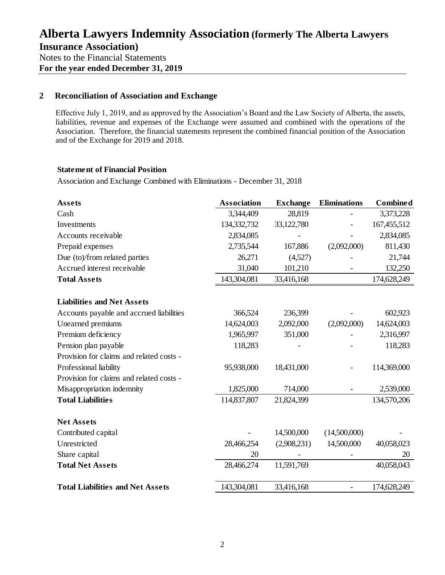### **2 Reconciliation of Association and Exchange**

Effective July 1, 2019, and as approved by the Association's Board and the Law Society of Alberta, the assets, liabilities, revenue and expenses of the Exchange were assumed and combined with the operations of the Association. Therefore, the financial statements represent the combined financial position of the Association and of the Exchange for 2019 and 2018.

### **Statement of Financial Position**

Association and Exchange Combined with Eliminations - December 31, 2018

| Assets                                   | <b>Association</b> | <b>Exchange</b> | <b>Eliminations</b> | <b>Combined</b> |
|------------------------------------------|--------------------|-----------------|---------------------|-----------------|
| Cash                                     | 3,344,409          | 28,819          |                     | 3,373,228       |
| Investments                              | 134,332,732        | 33,122,780      |                     | 167,455,512     |
| Accounts receivable                      | 2,834,085          |                 |                     | 2,834,085       |
| Prepaid expenses                         | 2,735,544          | 167,886         | (2,092,000)         | 811,430         |
| Due (to)/from related parties            | 26,271             | (4,527)         |                     | 21,744          |
| Accrued interest receivable              | 31,040             | 101,210         |                     | 132,250         |
| <b>Total Assets</b>                      | 143,304,081        | 33,416,168      |                     | 174,628,249     |
| <b>Liabilities and Net Assets</b>        |                    |                 |                     |                 |
| Accounts payable and accrued liabilities | 366,524            | 236,399         |                     | 602,923         |
| Unearned premiums                        | 14,624,003         | 2,092,000       | (2,092,000)         | 14,624,003      |
| Premium deficiency                       | 1,965,997          | 351,000         |                     | 2,316,997       |
| Pension plan payable                     | 118,283            |                 |                     | 118,283         |
| Provision for claims and related costs - |                    |                 |                     |                 |
| Professional liability                   | 95,938,000         | 18,431,000      |                     | 114,369,000     |
| Provision for claims and related costs - |                    |                 |                     |                 |
| Misappropriation indemnity               | 1,825,000          | 714,000         |                     | 2,539,000       |
| <b>Total Liabilities</b>                 | 114,837,807        | 21,824,399      |                     | 134,570,206     |
| <b>Net Assets</b>                        |                    |                 |                     |                 |
| Contributed capital                      |                    | 14,500,000      | (14,500,000)        |                 |
| Unrestricted                             | 28,466,254         | (2,908,231)     | 14,500,000          | 40,058,023      |
| Share capital                            | 20                 |                 |                     | 20              |
| <b>Total Net Assets</b>                  | 28,466,274         | 11,591,769      |                     | 40,058,043      |
| <b>Total Liabilities and Net Assets</b>  | 143,304,081        | 33,416,168      |                     | 174,628,249     |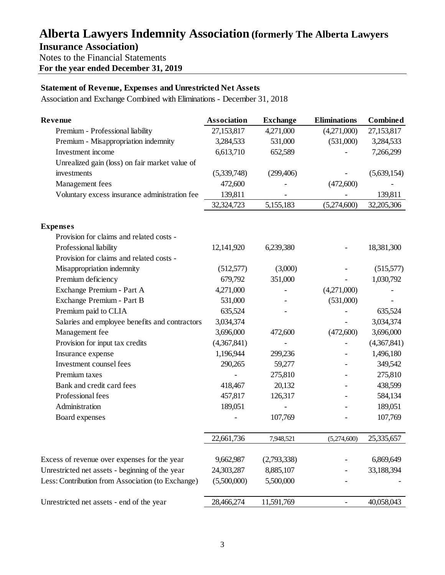# **Insurance Association)**

Notes to the Financial Statements **For the year ended December 31, 2019**

### **Statement of Revenue, Expenses and Unrestricted Net Assets**

Association and Exchange Combined with Eliminations - December 31, 2018

| Revenue                                           | <b>Association</b> | <b>Exchange</b> | <b>Eliminations</b>      | <b>Combined</b> |
|---------------------------------------------------|--------------------|-----------------|--------------------------|-----------------|
| Premium - Professional liability                  | 27,153,817         | 4,271,000       | (4,271,000)              | 27,153,817      |
| Premium - Misappropriation indemnity              | 3,284,533          | 531,000         | (531,000)                | 3,284,533       |
| Investment income                                 | 6,613,710          | 652,589         |                          | 7,266,299       |
| Unrealized gain (loss) on fair market value of    |                    |                 |                          |                 |
| investments                                       | (5,339,748)        | (299, 406)      |                          | (5,639,154)     |
| Management fees                                   | 472,600            |                 | (472,600)                |                 |
| Voluntary excess insurance administration fee     | 139,811            |                 |                          | 139,811         |
|                                                   | 32,324,723         | 5,155,183       | (5,274,600)              | 32,205,306      |
| <b>Expenses</b>                                   |                    |                 |                          |                 |
| Provision for claims and related costs -          |                    |                 |                          |                 |
| Professional liability                            | 12,141,920         | 6,239,380       |                          | 18,381,300      |
| Provision for claims and related costs -          |                    |                 |                          |                 |
| Misappropriation indemnity                        | (512, 577)         | (3,000)         |                          | (515,577)       |
| Premium deficiency                                | 679,792            | 351,000         |                          | 1,030,792       |
| Exchange Premium - Part A                         | 4,271,000          |                 | (4,271,000)              |                 |
| Exchange Premium - Part B                         | 531,000            |                 | (531,000)                |                 |
| Premium paid to CLIA                              | 635,524            |                 |                          | 635,524         |
| Salaries and employee benefits and contractors    | 3,034,374          |                 |                          | 3,034,374       |
| Management fee                                    | 3,696,000          | 472,600         | (472,600)                | 3,696,000       |
| Provision for input tax credits                   | (4,367,841)        |                 | $\overline{\phantom{a}}$ | (4,367,841)     |
| Insurance expense                                 | 1,196,944          | 299,236         |                          | 1,496,180       |
| Investment counsel fees                           | 290,265            | 59,277          |                          | 349,542         |
| Premium taxes                                     |                    | 275,810         |                          | 275,810         |
| Bank and credit card fees                         | 418,467            | 20,132          |                          | 438,599         |
| Professional fees                                 | 457,817            | 126,317         |                          | 584,134         |
| Administration                                    | 189,051            |                 |                          | 189,051         |
| Board expenses                                    |                    | 107,769         |                          | 107,769         |
|                                                   | 22,661,736         | 7,948,521       | (5,274,600)              | 25,335,657      |
| Excess of revenue over expenses for the year      | 9,662,987          | (2,793,338)     |                          | 6,869,649       |
| Unrestricted net assets - beginning of the year   | 24,303,287         | 8,885,107       |                          | 33,188,394      |
| Less: Contribution from Association (to Exchange) | (5,500,000)        | 5,500,000       |                          |                 |
| Unrestricted net assets - end of the year         | 28,466,274         | 11,591,769      |                          | 40,058,043      |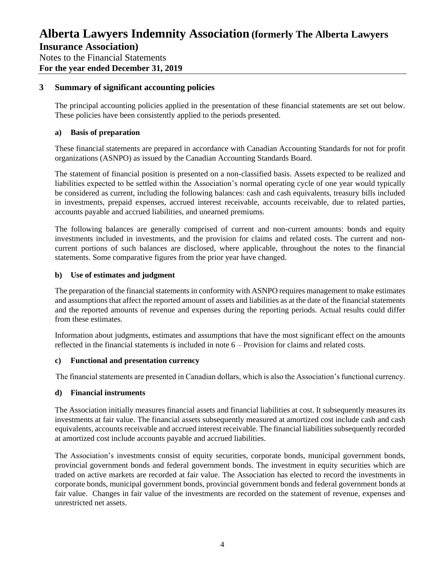### **3 Summary of significant accounting policies**

The principal accounting policies applied in the presentation of these financial statements are set out below. These policies have been consistently applied to the periods presented.

### **a) Basis of preparation**

These financial statements are prepared in accordance with Canadian Accounting Standards for not for profit organizations (ASNPO) as issued by the Canadian Accounting Standards Board.

The statement of financial position is presented on a non-classified basis. Assets expected to be realized and liabilities expected to be settled within the Association's normal operating cycle of one year would typically be considered as current, including the following balances: cash and cash equivalents, treasury bills included in investments, prepaid expenses, accrued interest receivable, accounts receivable, due to related parties, accounts payable and accrued liabilities, and unearned premiums.

The following balances are generally comprised of current and non-current amounts: bonds and equity investments included in investments, and the provision for claims and related costs. The current and noncurrent portions of such balances are disclosed, where applicable, throughout the notes to the financial statements. Some comparative figures from the prior year have changed.

### **b) Use of estimates and judgment**

The preparation of the financial statements in conformity with ASNPO requires management to make estimates and assumptions that affect the reported amount of assets and liabilities as at the date of the financial statements and the reported amounts of revenue and expenses during the reporting periods. Actual results could differ from these estimates.

Information about judgments, estimates and assumptions that have the most significant effect on the amounts reflected in the financial statements is included in note 6 – Provision for claims and related costs.

### **c) Functional and presentation currency**

The financial statements are presented in Canadian dollars, which is also the Association's functional currency.

### **d) Financial instruments**

The Association initially measures financial assets and financial liabilities at cost. It subsequently measures its investments at fair value. The financial assets subsequently measured at amortized cost include cash and cash equivalents, accounts receivable and accrued interest receivable. The financial liabilities subsequently recorded at amortized cost include accounts payable and accrued liabilities.

The Association's investments consist of equity securities, corporate bonds, municipal government bonds, provincial government bonds and federal government bonds. The investment in equity securities which are traded on active markets are recorded at fair value. The Association has elected to record the investments in corporate bonds, municipal government bonds, provincial government bonds and federal government bonds at fair value. Changes in fair value of the investments are recorded on the statement of revenue, expenses and unrestricted net assets.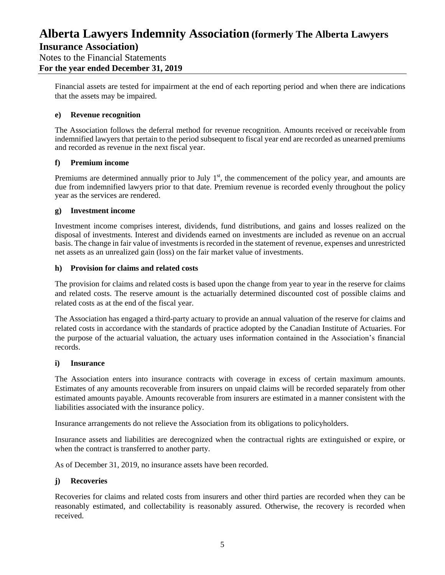### **Alberta Lawyers Indemnity Association (formerly The Alberta Lawyers Insurance Association)** Notes to the Financial Statements **For the year ended December 31, 2019**

Financial assets are tested for impairment at the end of each reporting period and when there are indications that the assets may be impaired.

### **e) Revenue recognition**

The Association follows the deferral method for revenue recognition. Amounts received or receivable from indemnified lawyers that pertain to the period subsequent to fiscal year end are recorded as unearned premiums and recorded as revenue in the next fiscal year.

### **f) Premium income**

Premiums are determined annually prior to July  $1<sup>st</sup>$ , the commencement of the policy year, and amounts are due from indemnified lawyers prior to that date. Premium revenue is recorded evenly throughout the policy year as the services are rendered.

### **g) Investment income**

Investment income comprises interest, dividends, fund distributions, and gains and losses realized on the disposal of investments. Interest and dividends earned on investments are included as revenue on an accrual basis. The change in fair value of investments is recorded in the statement of revenue, expenses and unrestricted net assets as an unrealized gain (loss) on the fair market value of investments.

### **h) Provision for claims and related costs**

The provision for claims and related costs is based upon the change from year to year in the reserve for claims and related costs. The reserve amount is the actuarially determined discounted cost of possible claims and related costs as at the end of the fiscal year.

The Association has engaged a third-party actuary to provide an annual valuation of the reserve for claims and related costs in accordance with the standards of practice adopted by the Canadian Institute of Actuaries. For the purpose of the actuarial valuation, the actuary uses information contained in the Association's financial records.

### **i) Insurance**

The Association enters into insurance contracts with coverage in excess of certain maximum amounts. Estimates of any amounts recoverable from insurers on unpaid claims will be recorded separately from other estimated amounts payable. Amounts recoverable from insurers are estimated in a manner consistent with the liabilities associated with the insurance policy.

Insurance arrangements do not relieve the Association from its obligations to policyholders.

Insurance assets and liabilities are derecognized when the contractual rights are extinguished or expire, or when the contract is transferred to another party.

As of December 31, 2019, no insurance assets have been recorded.

### **j) Recoveries**

Recoveries for claims and related costs from insurers and other third parties are recorded when they can be reasonably estimated, and collectability is reasonably assured. Otherwise, the recovery is recorded when received.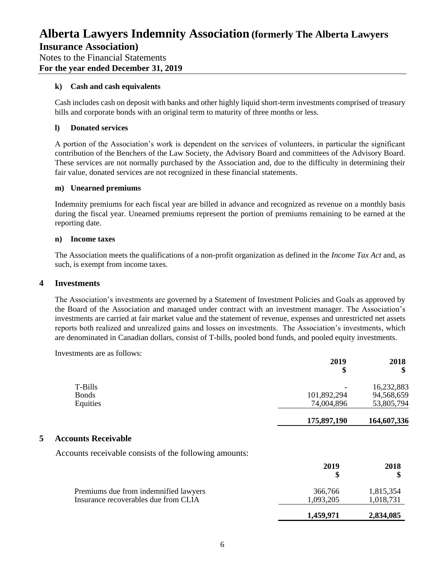**Insurance Association)** Notes to the Financial Statements **For the year ended December 31, 2019**

### **k) Cash and cash equivalents**

Cash includes cash on deposit with banks and other highly liquid short-term investments comprised of treasury bills and corporate bonds with an original term to maturity of three months or less.

### **l) Donated services**

A portion of the Association's work is dependent on the services of volunteers, in particular the significant contribution of the Benchers of the Law Society, the Advisory Board and committees of the Advisory Board. These services are not normally purchased by the Association and, due to the difficulty in determining their fair value, donated services are not recognized in these financial statements.

### **m) Unearned premiums**

Indemnity premiums for each fiscal year are billed in advance and recognized as revenue on a monthly basis during the fiscal year. Unearned premiums represent the portion of premiums remaining to be earned at the reporting date.

### **n) Income taxes**

The Association meets the qualifications of a non-profit organization as defined in the *Income Tax Act* and, as such, is exempt from income taxes.

### **4 Investments**

The Association's investments are governed by a Statement of Investment Policies and Goals as approved by the Board of the Association and managed under contract with an investment manager. The Association's investments are carried at fair market value and the statement of revenue, expenses and unrestricted net assets reports both realized and unrealized gains and losses on investments. The Association's investments, which are denominated in Canadian dollars, consist of T-bills, pooled bond funds, and pooled equity investments.

Investments are as follows:

| unches are as follows. | 2019<br>\$  | 2018<br>\$  |
|------------------------|-------------|-------------|
| T-Bills                | ۰           | 16,232,883  |
| <b>Bonds</b>           | 101,892,294 | 94,568,659  |
| Equities               | 74,004,896  | 53,805,794  |
|                        | 175,897,190 | 164,607,336 |
|                        |             |             |

### **5 Accounts Receivable**

Accounts receivable consists of the following amounts:

|                                                                               | 2019                 | 2018                   |
|-------------------------------------------------------------------------------|----------------------|------------------------|
| Premiums due from indemnified lawyers<br>Insurance recoverables due from CLIA | 366,766<br>1,093,205 | 1,815,354<br>1,018,731 |
|                                                                               | 1,459,971            | 2,834,085              |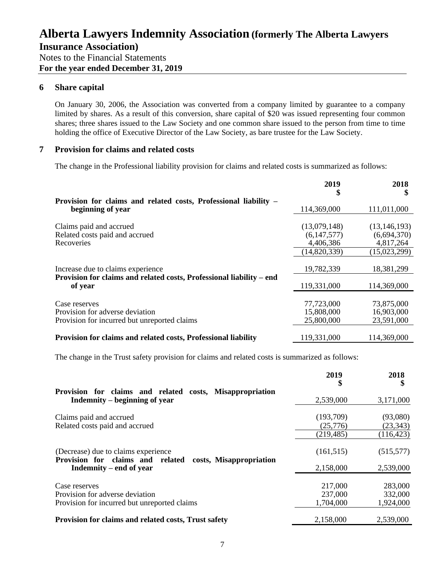### **6 Share capital**

On January 30, 2006, the Association was converted from a company limited by guarantee to a company limited by shares. As a result of this conversion, share capital of \$20 was issued representing four common shares; three shares issued to the Law Society and one common share issued to the person from time to time holding the office of Executive Director of the Law Society, as bare trustee for the Law Society.

### **7 Provision for claims and related costs**

The change in the Professional liability provision for claims and related costs is summarized as follows:

|                                                                                       | 2019<br>S     | 2018<br>\$     |
|---------------------------------------------------------------------------------------|---------------|----------------|
| Provision for claims and related costs, Professional liability -<br>beginning of year | 114,369,000   | 111,011,000    |
| Claims paid and accrued                                                               | (13,079,148)  | (13, 146, 193) |
| Related costs paid and accrued                                                        | (6, 147, 577) | (6,694,370)    |
| Recoveries                                                                            | 4,406,386     | 4,817,264      |
| Increase due to claims experience                                                     | (14,820,339)  | (15,023,299)   |
| Provision for claims and related costs, Professional liability - end                  | 19,782,339    | 18,381,299     |
| of year                                                                               | 119,331,000   | 114,369,000    |
| Case reserves                                                                         | 77,723,000    | 73,875,000     |
| Provision for adverse deviation                                                       | 15,808,000    | 16,903,000     |
| Provision for incurred but unreported claims                                          | 25,800,000    | 23,591,000     |
| Provision for claims and related costs, Professional liability                        | 119,331,000   | 114,369,000    |

The change in the Trust safety provision for claims and related costs is summarized as follows:

|                                                                                                    | 2019<br>\$ | 2018<br>\$ |
|----------------------------------------------------------------------------------------------------|------------|------------|
| Provision for claims and related<br>costs, Misappropriation<br>Indemnity – beginning of year       | 2,539,000  | 3,171,000  |
| Claims paid and accrued                                                                            | (193,709)  | (93,080)   |
| Related costs paid and accrued                                                                     | (25,776)   | (23, 343)  |
|                                                                                                    | (219, 485) | (116, 423) |
| (Decrease) due to claims experience<br>Provision for claims and related<br>costs, Misappropriation | (161, 515) | (515, 577) |
| Indemnity – end of year                                                                            | 2,158,000  | 2,539,000  |
| Case reserves                                                                                      | 217,000    | 283,000    |
| Provision for adverse deviation                                                                    | 237,000    | 332,000    |
| Provision for incurred but unreported claims                                                       | 1,704,000  | 1,924,000  |
| Provision for claims and related costs, Trust safety                                               | 2,158,000  | 2,539,000  |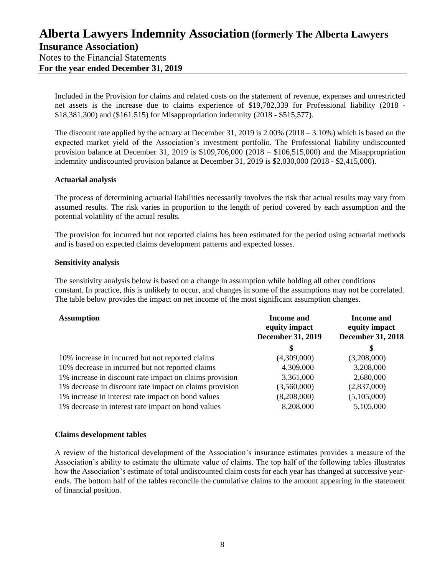### **Alberta Lawyers Indemnity Association (formerly The Alberta Lawyers Insurance Association)** Notes to the Financial Statements **For the year ended December 31, 2019**

Included in the Provision for claims and related costs on the statement of revenue, expenses and unrestricted net assets is the increase due to claims experience of \$19,782,339 for Professional liability (2018 - \$18,381,300) and (\$161,515) for Misappropriation indemnity (2018 - \$515,577).

The discount rate applied by the actuary at December 31, 2019 is 2.00% (2018 – 3.10%) which is based on the expected market yield of the Association's investment portfolio. The Professional liability undiscounted provision balance at December 31, 2019 is \$109,706,000 (2018 – \$106,515,000) and the Misappropriation indemnity undiscounted provision balance at December 31, 2019 is \$2,030,000 (2018 - \$2,415,000).

### **Actuarial analysis**

The process of determining actuarial liabilities necessarily involves the risk that actual results may vary from assumed results. The risk varies in proportion to the length of period covered by each assumption and the potential volatility of the actual results.

The provision for incurred but not reported claims has been estimated for the period using actuarial methods and is based on expected claims development patterns and expected losses.

### **Sensitivity analysis**

The sensitivity analysis below is based on a change in assumption while holding all other conditions constant. In practice, this is unlikely to occur, and changes in some of the assumptions may not be correlated. The table below provides the impact on net income of the most significant assumption changes.

| <b>Assumption</b>                                       | <b>Income and</b><br>equity impact<br><b>December 31, 2019</b> | <b>Income and</b><br>equity impact<br><b>December 31, 2018</b> |
|---------------------------------------------------------|----------------------------------------------------------------|----------------------------------------------------------------|
|                                                         | \$                                                             | \$                                                             |
| 10% increase in incurred but not reported claims        | (4,309,000)                                                    | (3,208,000)                                                    |
| 10% decrease in incurred but not reported claims        | 4,309,000                                                      | 3,208,000                                                      |
| 1% increase in discount rate impact on claims provision | 3,361,000                                                      | 2,680,000                                                      |
| 1% decrease in discount rate impact on claims provision | (3,560,000)                                                    | (2,837,000)                                                    |
| 1% increase in interest rate impact on bond values      | (8,208,000)                                                    | (5,105,000)                                                    |
| 1% decrease in interest rate impact on bond values      | 8,208,000                                                      | 5,105,000                                                      |

#### **Claims development tables**

A review of the historical development of the Association's insurance estimates provides a measure of the Association's ability to estimate the ultimate value of claims. The top half of the following tables illustrates how the Association's estimate of total undiscounted claim costs for each year has changed at successive yearends. The bottom half of the tables reconcile the cumulative claims to the amount appearing in the statement of financial position.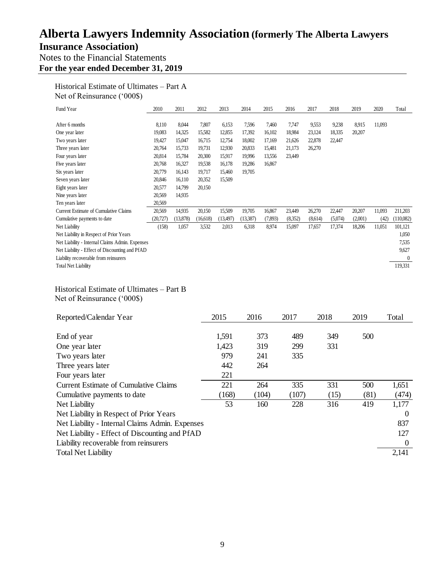### **Insurance Association)**

Notes to the Financial Statements **For the year ended December 31, 2019**

### Historical Estimate of Ultimates – Part A Net of Reinsurance ('000\$)

| Fund Year                                       | 2010      | 2011      | 2012     | 2013      | 2014      | 2015    | 2016    | 2017    | 2018    | 2019    | 2020   | Total          |
|-------------------------------------------------|-----------|-----------|----------|-----------|-----------|---------|---------|---------|---------|---------|--------|----------------|
|                                                 |           |           |          |           |           |         |         |         |         |         |        |                |
| After 6 months                                  | 8,110     | 8.044     | 7,807    | 6,153     | 7,596     | 7,460   | 7,747   | 9,553   | 9,238   | 8.915   | 11,093 |                |
| One year later                                  | 19,083    | 14,325    | 15,582   | 12,855    | 17,392    | 16,102  | 18,984  | 23,124  | 18,335  | 20,207  |        |                |
| Two years later                                 | 19,427    | 15,047    | 16,715   | 12,754    | 18,002    | 17,169  | 21,626  | 22,878  | 22,447  |         |        |                |
| Three years later                               | 20,764    | 15,733    | 19,731   | 12,930    | 20,833    | 15,481  | 21,173  | 26,270  |         |         |        |                |
| Four years later                                | 20,814    | 15,784    | 20,300   | 15.917    | 19,996    | 13,556  | 23,449  |         |         |         |        |                |
| Five years later                                | 20,768    | 16,327    | 19,538   | 16,178    | 19,286    | 16,867  |         |         |         |         |        |                |
| Six years later                                 | 20,779    | 16,143    | 19,717   | 15,460    | 19,705    |         |         |         |         |         |        |                |
| Seven years later                               | 20,846    | 16,110    | 20,352   | 15,509    |           |         |         |         |         |         |        |                |
| Eight years later                               | 20,577    | 14,799    | 20,150   |           |           |         |         |         |         |         |        |                |
| Nine years later                                | 20,569    | 14,935    |          |           |           |         |         |         |         |         |        |                |
| Ten years later                                 | 20,569    |           |          |           |           |         |         |         |         |         |        |                |
| <b>Current Estimate of Cumulative Claims</b>    | 20,569    | 14,935    | 20,150   | 15,509    | 19,705    | 16,867  | 23,449  | 26,270  | 22,447  | 20,207  | 11,093 | 211,203        |
| Cumulative payments to date                     | (20, 727) | (13, 878) | (16,618) | (13, 497) | (13, 387) | (7,893) | (8,352) | (8,614) | (5,074) | (2,001) | (42)   | (110,082)      |
| Net Liability                                   | (158)     | 1,057     | 3,532    | 2,013     | 6,318     | 8.974   | 15,097  | 17,657  | 17,374  | 18.206  | 11,051 | 101,121        |
| Net Liability in Respect of Prior Years         |           |           |          |           |           |         |         |         |         |         |        | 1,050          |
| Net Liability - Internal Claims Admin. Expenses |           |           |          |           |           |         |         |         |         |         |        | 7,535          |
| Net Liability - Effect of Discounting and PfAD  |           |           |          |           |           |         |         |         |         |         |        | 9,627          |
| Liability recoverable from reinsurers           |           |           |          |           |           |         |         |         |         |         |        | $\overline{0}$ |
| <b>Total Net Liability</b>                      |           |           |          |           |           |         |         |         |         |         |        | 119,331        |
|                                                 |           |           |          |           |           |         |         |         |         |         |        |                |

### Historical Estimate of Ultimates – Part B Net of Reinsurance ('000\$)

| Reported/Calendar Year                          | 2015  | 2016  | 2017  | 2018 | 2019 | Total    |
|-------------------------------------------------|-------|-------|-------|------|------|----------|
|                                                 |       |       |       |      |      |          |
| End of year                                     | 1,591 | 373   | 489   | 349  | 500  |          |
| One year later                                  | 1,423 | 319   | 299   | 331  |      |          |
| Two years later                                 | 979   | 241   | 335   |      |      |          |
| Three years later                               | 442   | 264   |       |      |      |          |
| Four years later                                | 221   |       |       |      |      |          |
| <b>Current Estimate of Cumulative Claims</b>    | 221   | 264   | 335   | 331  | 500  | 1,651    |
| Cumulative payments to date                     | (168) | (104) | (107) | (15) | (81) | (474)    |
| Net Liability                                   | 53    | 160   | 228   | 316  | 419  | 1,177    |
| Net Liability in Respect of Prior Years         |       |       |       |      |      | $\Omega$ |
| Net Liability - Internal Claims Admin. Expenses |       |       |       |      |      | 837      |
| Net Liability - Effect of Discounting and PfAD  |       |       |       |      |      | 127      |
| Liability recoverable from reinsurers           |       |       |       |      |      | $\Omega$ |
| <b>Total Net Liability</b>                      |       |       |       |      |      | 2,141    |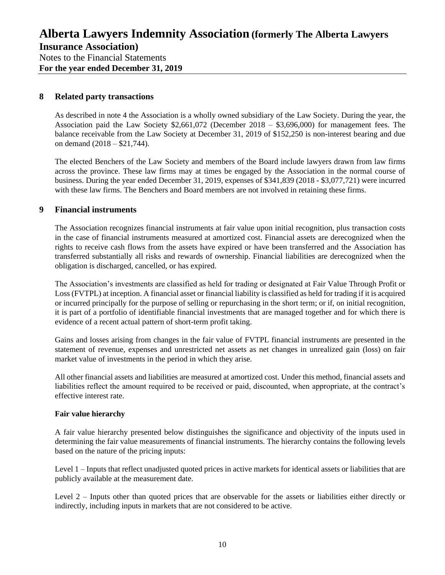### **8 Related party transactions**

As described in note 4 the Association is a wholly owned subsidiary of the Law Society. During the year, the Association paid the Law Society \$2,661,072 (December 2018 – \$3,696,000) for management fees. The balance receivable from the Law Society at December 31, 2019 of \$152,250 is non-interest bearing and due on demand (2018 – \$21,744).

The elected Benchers of the Law Society and members of the Board include lawyers drawn from law firms across the province. These law firms may at times be engaged by the Association in the normal course of business. During the year ended December 31, 2019, expenses of \$341,839 (2018 - \$3,077,721) were incurred with these law firms. The Benchers and Board members are not involved in retaining these firms.

### **9 Financial instruments**

The Association recognizes financial instruments at fair value upon initial recognition, plus transaction costs in the case of financial instruments measured at amortized cost. Financial assets are derecognized when the rights to receive cash flows from the assets have expired or have been transferred and the Association has transferred substantially all risks and rewards of ownership. Financial liabilities are derecognized when the obligation is discharged, cancelled, or has expired.

The Association's investments are classified as held for trading or designated at Fair Value Through Profit or Loss (FVTPL) at inception. A financial asset or financial liability is classified as held for trading if it is acquired or incurred principally for the purpose of selling or repurchasing in the short term; or if, on initial recognition, it is part of a portfolio of identifiable financial investments that are managed together and for which there is evidence of a recent actual pattern of short-term profit taking.

Gains and losses arising from changes in the fair value of FVTPL financial instruments are presented in the statement of revenue, expenses and unrestricted net assets as net changes in unrealized gain (loss) on fair market value of investments in the period in which they arise.

All other financial assets and liabilities are measured at amortized cost. Under this method, financial assets and liabilities reflect the amount required to be received or paid, discounted, when appropriate, at the contract's effective interest rate.

### **Fair value hierarchy**

A fair value hierarchy presented below distinguishes the significance and objectivity of the inputs used in determining the fair value measurements of financial instruments. The hierarchy contains the following levels based on the nature of the pricing inputs:

Level 1 – Inputs that reflect unadjusted quoted prices in active markets for identical assets or liabilities that are publicly available at the measurement date.

Level 2 – Inputs other than quoted prices that are observable for the assets or liabilities either directly or indirectly, including inputs in markets that are not considered to be active.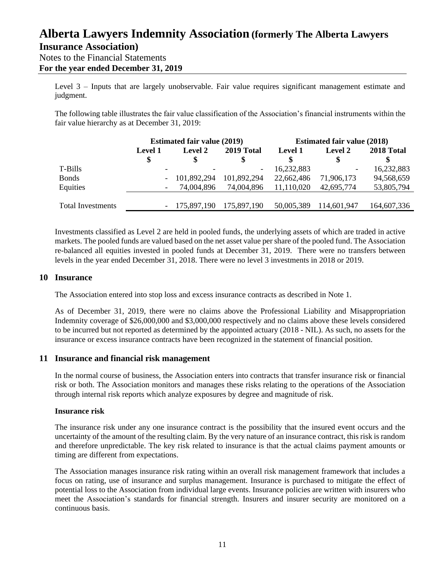# **Alberta Lawyers Indemnity Association (formerly The Alberta Lawyers Insurance Association)** Notes to the Financial Statements

**For the year ended December 31, 2019**

Level 3 – Inputs that are largely unobservable. Fair value requires significant management estimate and judgment.

The following table illustrates the fair value classification of the Association's financial instruments within the fair value hierarchy as at December 31, 2019:

|                          | <b>Estimated fair value (2019)</b> |                |             | <b>Estimated fair value (2018)</b> |                |             |
|--------------------------|------------------------------------|----------------|-------------|------------------------------------|----------------|-------------|
|                          | <b>Level 1</b>                     | <b>Level 2</b> | 2019 Total  | <b>Level 1</b>                     | <b>Level 2</b> | 2018 Total  |
|                          |                                    |                |             |                                    |                |             |
| T-Bills                  |                                    |                |             | 16,232,883                         |                | 16,232,883  |
| <b>Bonds</b>             | $-$                                | 101,892,294    | 101,892,294 | 22,662,486                         | 71,906,173     | 94,568,659  |
| Equities                 |                                    | 74,004,896     | 74,004,896  | 11,110,020                         | 42,695,774     | 53,805,794  |
|                          |                                    |                |             |                                    |                |             |
| <b>Total Investments</b> |                                    | $-175.897.190$ | 175,897,190 | 50,005,389                         | 114,601,947    | 164,607,336 |

Investments classified as Level 2 are held in pooled funds, the underlying assets of which are traded in active markets. The pooled funds are valued based on the net asset value per share of the pooled fund. The Association re-balanced all equities invested in pooled funds at December 31, 2019. There were no transfers between levels in the year ended December 31, 2018. There were no level 3 investments in 2018 or 2019.

### **10 Insurance**

The Association entered into stop loss and excess insurance contracts as described in Note 1.

As of December 31, 2019, there were no claims above the Professional Liability and Misappropriation Indemnity coverage of \$26,000,000 and \$3,000,000 respectively and no claims above these levels considered to be incurred but not reported as determined by the appointed actuary (2018 - NIL). As such, no assets for the insurance or excess insurance contracts have been recognized in the statement of financial position.

### **11 Insurance and financial risk management**

In the normal course of business, the Association enters into contracts that transfer insurance risk or financial risk or both. The Association monitors and manages these risks relating to the operations of the Association through internal risk reports which analyze exposures by degree and magnitude of risk.

#### **Insurance risk**

The insurance risk under any one insurance contract is the possibility that the insured event occurs and the uncertainty of the amount of the resulting claim. By the very nature of an insurance contract, this risk is random and therefore unpredictable. The key risk related to insurance is that the actual claims payment amounts or timing are different from expectations.

The Association manages insurance risk rating within an overall risk management framework that includes a focus on rating, use of insurance and surplus management. Insurance is purchased to mitigate the effect of potential loss to the Association from individual large events. Insurance policies are written with insurers who meet the Association's standards for financial strength. Insurers and insurer security are monitored on a continuous basis.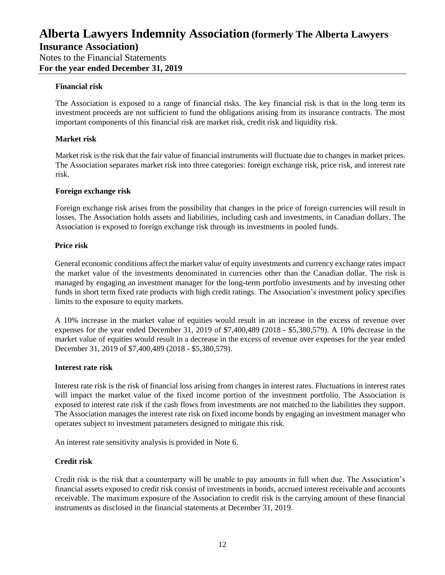### **Financial risk**

The Association is exposed to a range of financial risks. The key financial risk is that in the long term its investment proceeds are not sufficient to fund the obligations arising from its insurance contracts. The most important components of this financial risk are market risk, credit risk and liquidity risk.

### **Market risk**

Market risk is the risk that the fair value of financial instruments will fluctuate due to changes in market prices. The Association separates market risk into three categories: foreign exchange risk, price risk, and interest rate risk.

### **Foreign exchange risk**

Foreign exchange risk arises from the possibility that changes in the price of foreign currencies will result in losses. The Association holds assets and liabilities, including cash and investments, in Canadian dollars. The Association is exposed to foreign exchange risk through its investments in pooled funds.

### **Price risk**

General economic conditions affect the market value of equity investments and currency exchange rates impact the market value of the investments denominated in currencies other than the Canadian dollar. The risk is managed by engaging an investment manager for the long-term portfolio investments and by investing other funds in short term fixed rate products with high credit ratings. The Association's investment policy specifies limits to the exposure to equity markets.

A 10% increase in the market value of equities would result in an increase in the excess of revenue over expenses for the year ended December 31, 2019 of \$7,400,489 (2018 - \$5,380,579). A 10% decrease in the market value of equities would result in a decrease in the excess of revenue over expenses for the year ended December 31, 2019 of \$7,400,489 (2018 - \$5,380,579).

### **Interest rate risk**

Interest rate risk is the risk of financial loss arising from changes in interest rates. Fluctuations in interest rates will impact the market value of the fixed income portion of the investment portfolio. The Association is exposed to interest rate risk if the cash flows from investments are not matched to the liabilities they support. The Association manages the interest rate risk on fixed income bonds by engaging an investment manager who operates subject to investment parameters designed to mitigate this risk.

An interest rate sensitivity analysis is provided in Note 6.

### **Credit risk**

Credit risk is the risk that a counterparty will be unable to pay amounts in full when due. The Association's financial assets exposed to credit risk consist of investments in bonds, accrued interest receivable and accounts receivable. The maximum exposure of the Association to credit risk is the carrying amount of these financial instruments as disclosed in the financial statements at December 31, 2019.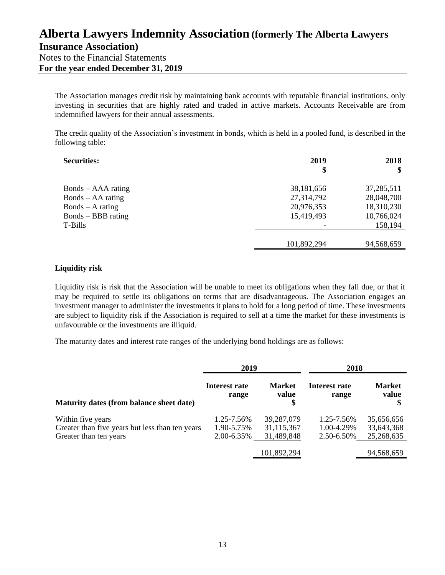### **Alberta Lawyers Indemnity Association (formerly The Alberta Lawyers Insurance Association)** Notes to the Financial Statements **For the year ended December 31, 2019**

The Association manages credit risk by maintaining bank accounts with reputable financial institutions, only investing in securities that are highly rated and traded in active markets. Accounts Receivable are from indemnified lawyers for their annual assessments.

The credit quality of the Association's investment in bonds, which is held in a pooled fund, is described in the following table:

| <b>Securities:</b>   | 2019<br>\$  | 2018<br>\$ |
|----------------------|-------------|------------|
|                      |             |            |
| $Bonds - AAA rating$ | 38,181,656  | 37,285,511 |
| $Bonds - AA rating$  | 27,314,792  | 28,048,700 |
| $Bonds - A rating$   | 20,976,353  | 18,310,230 |
| $Bonds - BBB rating$ | 15,419,493  | 10,766,024 |
| T-Bills              |             | 158,194    |
|                      |             |            |
|                      | 101,892,294 | 94,568,659 |

### **Liquidity risk**

Liquidity risk is risk that the Association will be unable to meet its obligations when they fall due, or that it may be required to settle its obligations on terms that are disadvantageous. The Association engages an investment manager to administer the investments it plans to hold for a long period of time. These investments are subject to liquidity risk if the Association is required to sell at a time the market for these investments is unfavourable or the investments are illiquid.

The maturity dates and interest rate ranges of the underlying bond holdings are as follows:

|                                                 | 2019                   |                              | 2018                   |                        |
|-------------------------------------------------|------------------------|------------------------------|------------------------|------------------------|
| Maturity dates (from balance sheet date)        | Interest rate<br>range | <b>Market</b><br>value<br>\$ | Interest rate<br>range | <b>Market</b><br>value |
| Within five years                               | 1.25-7.56%             | 39,287,079                   | 1.25-7.56%             | 35,656,656             |
| Greater than five years but less than ten years | 1.90-5.75%             | 31,115,367                   | 1.00-4.29%             | 33,643,368             |
| Greater than ten years                          | 2.00-6.35%             | 31,489,848                   | 2.50-6.50%             | 25,268,635             |
|                                                 |                        | 101,892,294                  |                        | 94,568,659             |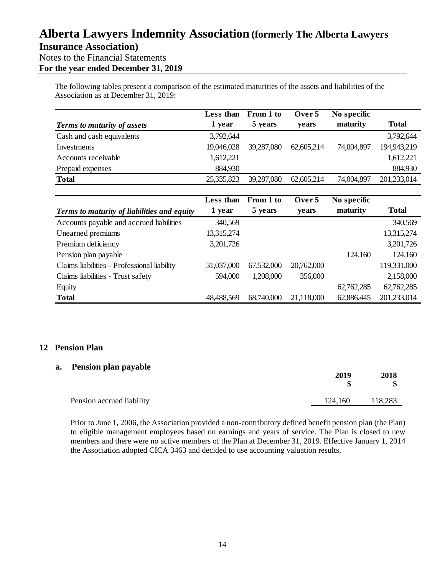# **Insurance Association)**

Notes to the Financial Statements **For the year ended December 31, 2019**

> The following tables present a comparison of the estimated maturities of the assets and liabilities of the Association as at December 31, 2019:

| <b>Terms to maturity of assets</b> | Less than<br>1 year | From 1 to<br>5 years | Over 5<br>vears | No specific<br>maturity | <b>Total</b> |
|------------------------------------|---------------------|----------------------|-----------------|-------------------------|--------------|
| Cash and cash equivalents          | 3,792,644           |                      |                 |                         | 3,792,644    |
| Investments                        | 19,046,028          | 39,287,080           | 62,605,214      | 74,004,897              | 194,943,219  |
| Accounts receivable                | 1,612,221           |                      |                 |                         | 1,612,221    |
| Prepaid expenses                   | 884,930             |                      |                 |                         | 884,930      |
| <b>Total</b>                       | 25,335,823          | 39,287,080           | 62,605,214      | 74,004,897              | 201,233,014  |

|                                             | Less than  | From 1 to  | Over 5       | No specific |              |
|---------------------------------------------|------------|------------|--------------|-------------|--------------|
| Terms to maturity of liabilities and equity | 1 year     | 5 years    | <b>vears</b> | maturity    | <b>Total</b> |
| Accounts payable and accrued liabilities    | 340,569    |            |              |             | 340,569      |
| Unearned premiums                           | 13,315,274 |            |              |             | 13,315,274   |
| Premium deficiency                          | 3,201,726  |            |              |             | 3,201,726    |
| Pension plan payable                        |            |            |              | 124,160     | 124,160      |
| Claims liabilities - Professional liability | 31,037,000 | 67,532,000 | 20,762,000   |             | 119,331,000  |
| Claims liabilities - Trust safety           | 594,000    | 1,208,000  | 356,000      |             | 2,158,000    |
| Equity                                      |            |            |              | 62,762,285  | 62,762,285   |
| <b>Total</b>                                | 48,488,569 | 68,740,000 | 21,118,000   | 62,886,445  | 201,233,014  |

### **12 Pension Plan**

| a. Pension plan payable   | 2019    | 2018   |
|---------------------------|---------|--------|
| Pension accrued liability | 124,160 | 18.283 |

Prior to June 1, 2006, the Association provided a non-contributory defined benefit pension plan (the Plan) to eligible management employees based on earnings and years of service. The Plan is closed to new members and there were no active members of the Plan at December 31, 2019. Effective January 1, 2014 the Association adopted CICA 3463 and decided to use accounting valuation results.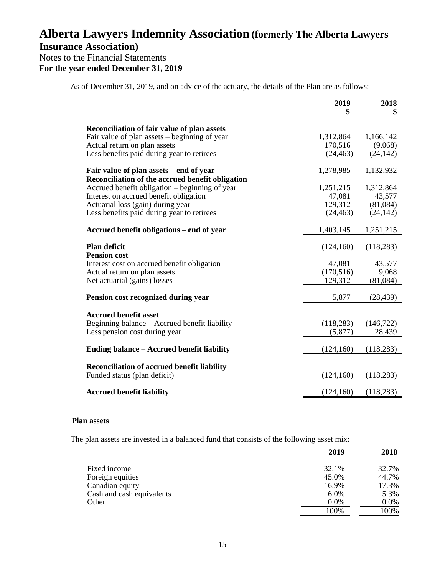# **Insurance Association)**

Notes to the Financial Statements **For the year ended December 31, 2019**

As of December 31, 2019, and on advice of the actuary, the details of the Plan are as follows:

|                                                                                    | 2019       | 2018       |
|------------------------------------------------------------------------------------|------------|------------|
| Reconciliation of fair value of plan assets                                        |            |            |
| Fair value of plan assets – beginning of year                                      | 1,312,864  | 1,166,142  |
| Actual return on plan assets                                                       | 170,516    | (9,068)    |
| Less benefits paid during year to retirees                                         | (24, 463)  | (24, 142)  |
| Fair value of plan assets – end of year                                            | 1,278,985  | 1,132,932  |
| Reconciliation of the accrued benefit obligation                                   |            |            |
| Accrued benefit obligation – beginning of year                                     | 1,251,215  | 1,312,864  |
| Interest on accrued benefit obligation                                             | 47,081     | 43,577     |
| Actuarial loss (gain) during year                                                  | 129,312    | (81,084)   |
| Less benefits paid during year to retirees                                         | (24, 463)  | (24, 142)  |
| Accrued benefit obligations – end of year                                          | 1,403,145  | 1,251,215  |
| <b>Plan deficit</b><br><b>Pension cost</b>                                         | (124,160)  | (118, 283) |
| Interest cost on accrued benefit obligation                                        | 47,081     | 43,577     |
| Actual return on plan assets                                                       | (170, 516) | 9,068      |
| Net actuarial (gains) losses                                                       | 129,312    | (81,084)   |
| Pension cost recognized during year                                                | 5,877      | (28, 439)  |
| <b>Accrued benefit asset</b>                                                       |            |            |
| Beginning balance – Accrued benefit liability                                      | (118, 283) | (146, 722) |
| Less pension cost during year                                                      | (5,877)    | 28,439     |
|                                                                                    |            |            |
| Ending balance – Accrued benefit liability                                         | (124, 160) | (118, 283) |
|                                                                                    |            |            |
| <b>Reconciliation of accrued benefit liability</b><br>Funded status (plan deficit) | (124, 160) | (118, 283) |
|                                                                                    |            |            |
| <b>Accrued benefit liability</b>                                                   | (124, 160) | (118, 283) |

#### **Plan assets**

The plan assets are invested in a balanced fund that consists of the following asset mix:

|                           | 2019    | 2018    |
|---------------------------|---------|---------|
| Fixed income              | 32.1%   | 32.7%   |
| Foreign equities          | 45.0%   | 44.7%   |
| Canadian equity           | 16.9%   | 17.3%   |
| Cash and cash equivalents | 6.0%    | 5.3%    |
| Other                     | $0.0\%$ | $0.0\%$ |
|                           | 100%    | 100%    |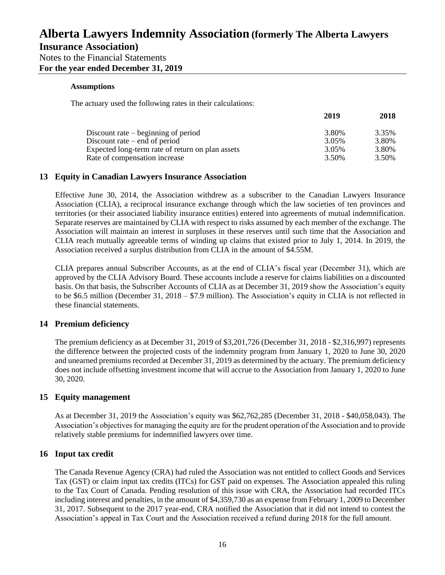### **Alberta Lawyers Indemnity Association (formerly The Alberta Lawyers Insurance Association)** Notes to the Financial Statements **For the year ended December 31, 2019**

#### **Assumptions**

The actuary used the following rates in their calculations:

|                                                                                   | 2019           | 2018           |
|-----------------------------------------------------------------------------------|----------------|----------------|
| Discount rate $-$ beginning of period                                             | 3.80%          | 3.35%          |
| Discount rate $-$ end of period                                                   | 3.05%          | 3.80%          |
| Expected long-term rate of return on plan assets<br>Rate of compensation increase | 3.05%<br>3.50% | 3.80%<br>3.50% |

### **13 Equity in Canadian Lawyers Insurance Association**

Effective June 30, 2014, the Association withdrew as a subscriber to the Canadian Lawyers Insurance Association (CLIA), a reciprocal insurance exchange through which the law societies of ten provinces and territories (or their associated liability insurance entities) entered into agreements of mutual indemnification. Separate reserves are maintained by CLIA with respect to risks assumed by each member of the exchange. The Association will maintain an interest in surpluses in these reserves until such time that the Association and CLIA reach mutually agreeable terms of winding up claims that existed prior to July 1, 2014. In 2019, the Association received a surplus distribution from CLIA in the amount of \$4.55M.

CLIA prepares annual Subscriber Accounts, as at the end of CLIA's fiscal year (December 31), which are approved by the CLIA Advisory Board. These accounts include a reserve for claims liabilities on a discounted basis. On that basis, the Subscriber Accounts of CLIA as at December 31, 2019 show the Association's equity to be \$6.5 million (December 31, 2018 – \$7.9 million). The Association's equity in CLIA is not reflected in these financial statements.

### **14 Premium deficiency**

The premium deficiency as at December 31, 2019 of \$3,201,726 (December 31, 2018 - \$2,316,997) represents the difference between the projected costs of the indemnity program from January 1, 2020 to June 30, 2020 and unearned premiums recorded at December 31, 2019 as determined by the actuary. The premium deficiency does not include offsetting investment income that will accrue to the Association from January 1, 2020 to June 30, 2020.

### **15 Equity management**

As at December 31, 2019 the Association's equity was \$62,762,285 (December 31, 2018 - \$40,058,043). The Association's objectives for managing the equity are for the prudent operation of the Association and to provide relatively stable premiums for indemnified lawyers over time.

### **16 Input tax credit**

The Canada Revenue Agency (CRA) had ruled the Association was not entitled to collect Goods and Services Tax (GST) or claim input tax credits (ITCs) for GST paid on expenses. The Association appealed this ruling to the Tax Court of Canada. Pending resolution of this issue with CRA, the Association had recorded ITCs including interest and penalties, in the amount of \$4,359,730 as an expense from February 1, 2009 to December 31, 2017. Subsequent to the 2017 year-end, CRA notified the Association that it did not intend to contest the Association's appeal in Tax Court and the Association received a refund during 2018 for the full amount.